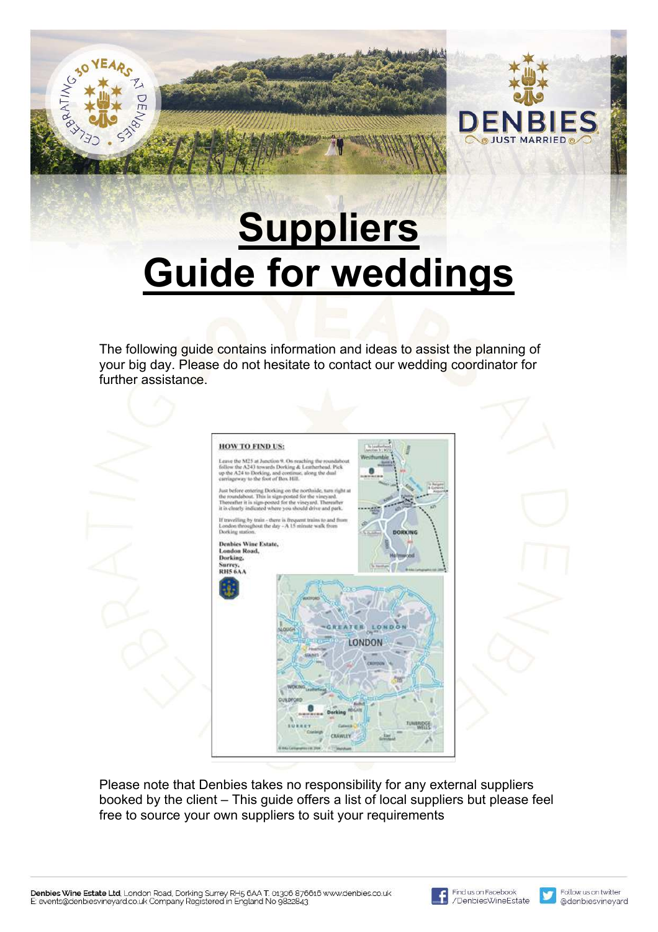# **Suppliers Guide for weddings**

The following guide contains information and ideas to assist the planning of your big day. Please do not hesitate to contact our wedding coordinator for further assistance.



Please note that Denbies takes no responsibility for any external suppliers booked by the client – This guide offers a list of local suppliers but please feel free to source your own suppliers to suit your requirements

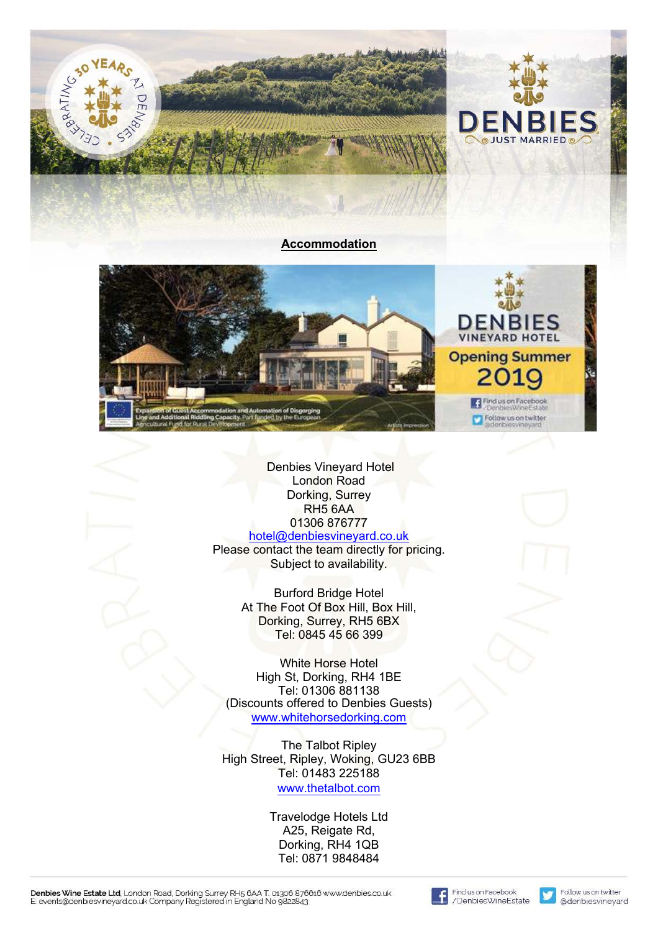



Denbies Vineyard Hotel London Road Dorking, Surrey RH5 6AA 01306 876777 hotel@denbiesvineyard.co.uk

[Please contact the team directly for pricing.](hotel@denbiesvineyard.co.uk)  Subject to availability.

> Burford Bridge Hotel At The Foot Of Box Hill, Box Hill, Dorking, Surrey, RH5 6BX Tel: 0845 45 66 399

White Horse Hotel High St, Dorking, RH4 1BE Tel: 01306 881138 (Discounts offered to Denbies Guests) <www.whitehorsedorking.com>

The Talbot Ripley High Street, Ripley, Woking, GU23 6BB Tel: 01483 225188 <www.thetalbot.com>

> Travelodge Hotels Ltd A25, Reigate Rd, Dorking, RH4 1QB Tel: 0871 9848484



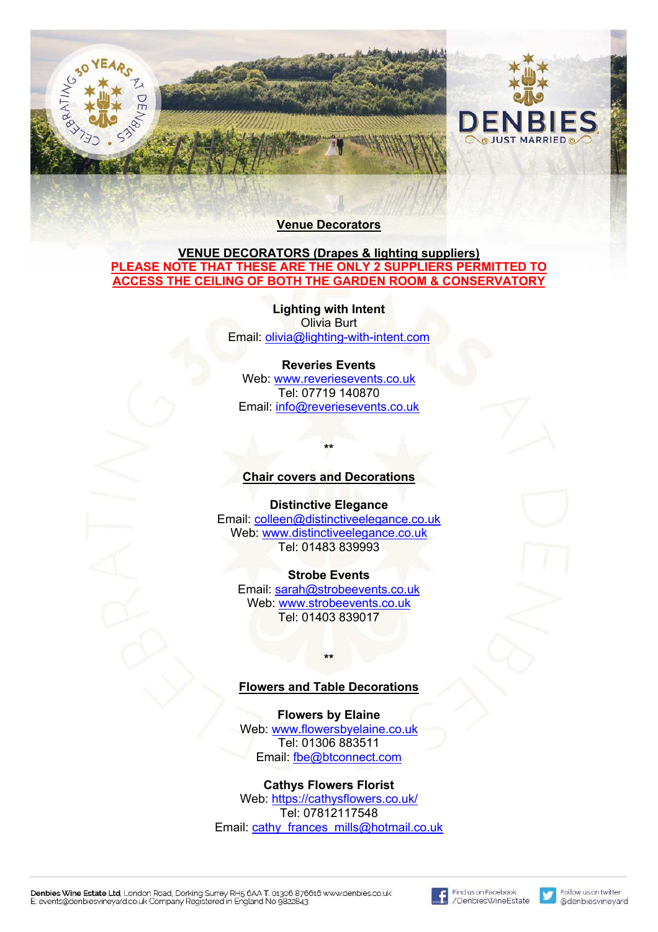



#### **VENUE DECORATORS (Drapes & lighting suppliers) PLEASE NOTE THAT THESE ARE THE ONLY 2 SUPPLIERS PERMITTED TO ACCESS THE CEILING OF BOTH THE GARDEN ROOM & CONSERVATORY**

**Lighting with Intent** Olivia Burt Email: olivia@lighting-with-intent.com

#### **Reveries Events**

Web: www.reveriesevents.co.uk Tel: 07719 140870 Email: info@reveriesevents.co.uk

#### **Chair covers and Decorations**

**\*\***

#### **Distinctive Elegance**

Email: colleen@distinctiveelegance.co.uk Web: www.distinctiveelegance.co.uk Tel: 01483 839993

#### **Strobe Events**

Email: sarah@strobeevents.co.uk Web: www.strobeevents.co.uk Tel: 01403 839017

#### **Flowers and Table Decorations**

**\*\***

#### **Flowers by Elaine**

Web: www.flowersbyelaine.co.uk Tel: 01306 883511 Email: fbe@btconnect.com

# **Cathys Flowers Florist** Web: https://cathysflowers.co.uk/

Tel: 07812117548 Email: cathy\_frances\_mills@hotmail.co.uk

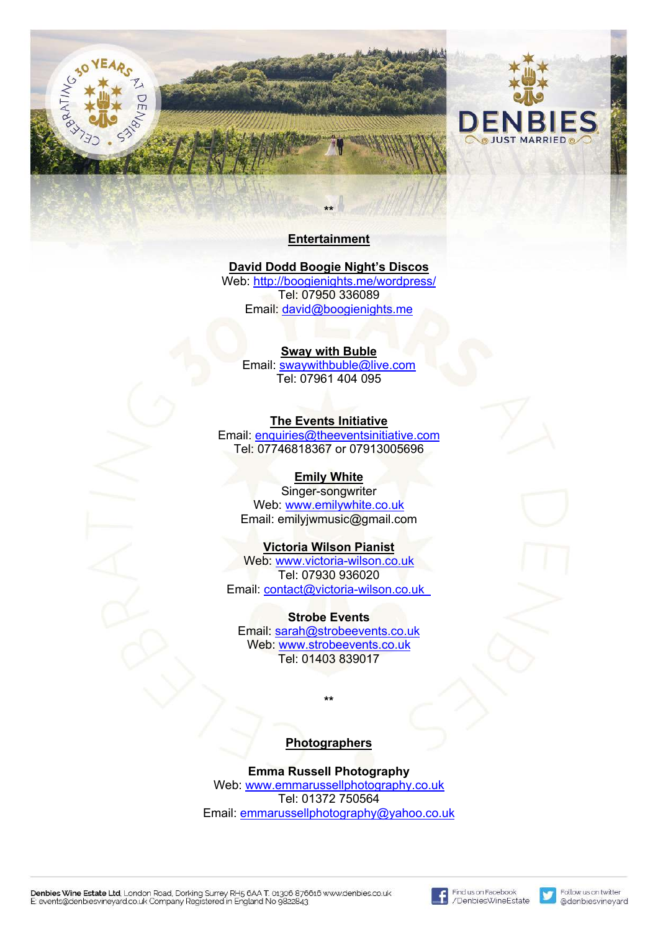



## **Entertainment**

# **David Dodd Boogie Night's Discos**

Web: http://boogienights.me/wordpress/ Tel: 07950 336089 Email: david@boogienights.me

#### **Sway with Buble**

Email: swaywithbuble@live.com Tel: 07961 404 095

#### **The Events Initiative**

Email: enquiries@theeventsinitiative.com Tel: 07746818367 or 07913005696

#### **Emily White**

Singer-songwriter Web: www.emilywhite.co.uk Email: emilyjwmusic@gmail.com

#### **Victoria Wilson Pianist**

Web: www.victoria-wilson.co.uk Tel: 07930 936020 Email: contact@victoria-wilson.co.uk

#### **Strobe Events**

Email: sarah@strobeevents.co.uk Web: www.strobeevents.co.uk Tel: 01403 839017

#### **Photographers**

**\*\***

**Emma Russell Photography** Web: www.emmarussellphotography.co.uk Tel: 01372 750564 Email: emmarussellphotography@yahoo.co.uk

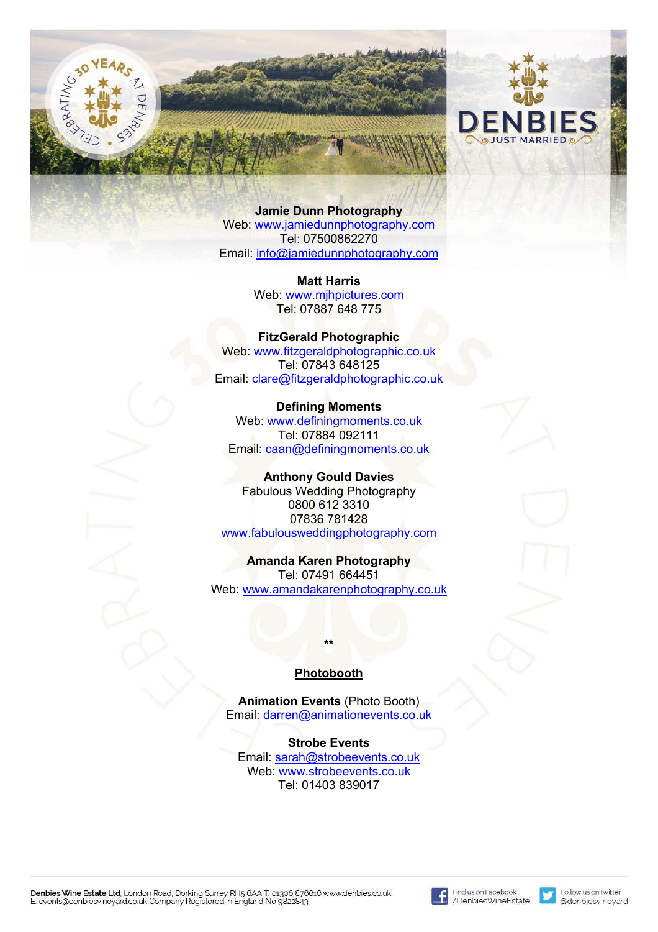



**Jamie Dunn Photography** Web: www.jamiedunnphotography.com Tel: 07500862270 Email: info@jamiedunnphotography.com

> **Matt Harris** Web: www.mjhpictures.com Tel: 07887 648 775

**FitzGerald Photographic** Web: www.fitzgeraldphotographic.co.uk Tel: 07843 648125 Email: clare@fitzgeraldphotographic.co.uk

**Defining Moments** Web: www.definingmoments.co.uk Tel: 07884 092111 Email: caan@definingmoments.co.uk

**Anthony Gould Davies** Fabulous Wedding Photography 0800 612 3310 07836 781428 www.fabulousweddingphotography.com

**Amanda Karen Photography** Tel: 07491 664451 Web: www.amandakarenphotography.co.uk

#### **Photobooth**

**\*\***

**Animation Events** (Photo Booth) Email: darren@animationevents.co.uk

**Strobe Events** Email: sarah@strobeevents.co.uk Web: www.strobeevents.co.uk Tel: 01403 839017

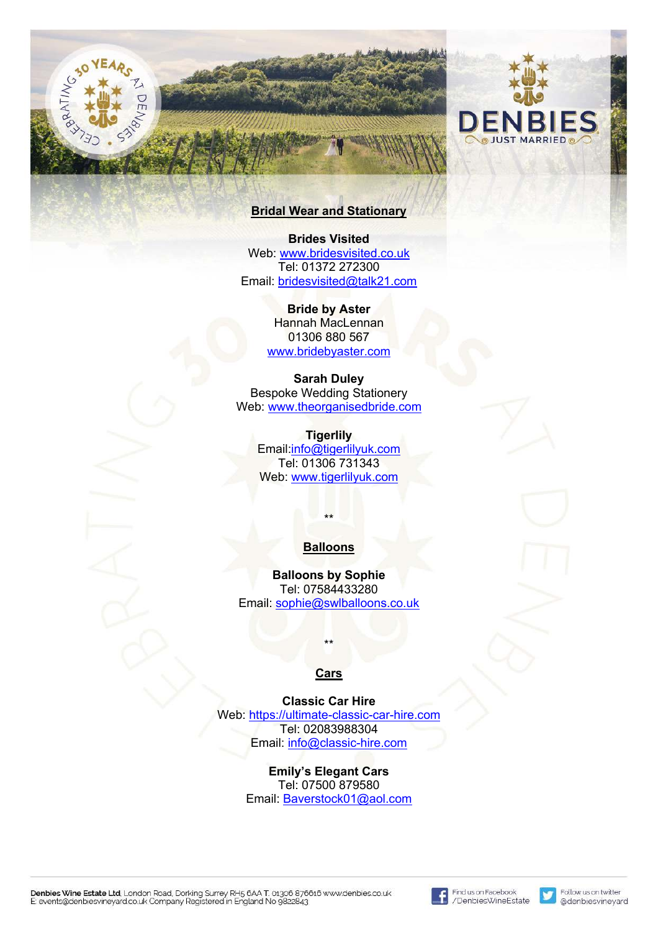

# **Bridal Wear and Stationary**

**Brides Visited** Web: www.bridesvisited.co.uk Tel: 01372 272300 Email: bridesvisited@talk21.com

> **Bride by Aster** Hannah MacLennan 01306 880 567 www.bridebyaster.com

**Sarah Duley** Bespoke Wedding Stationery Web: www.theorganisedbride.com

> **Tigerlily** Email:info@tigerlilyuk.com Tel: 01306 731343 Web: www.tigerlilyuk.com

#### **Balloons**

\*\*

**Balloons by Sophie** Tel: 07584433280 Email: sophie@swlballoons.co.uk

**Cars**

\*\*

#### **Classic Car Hire**

Web: https://ultimate-classic-car-hire.com Tel: 02083988304 Email: info@classic-hire.com

> **Emily's Elegant Cars** Tel: 07500 879580 Email: Baverstock01@aol.com

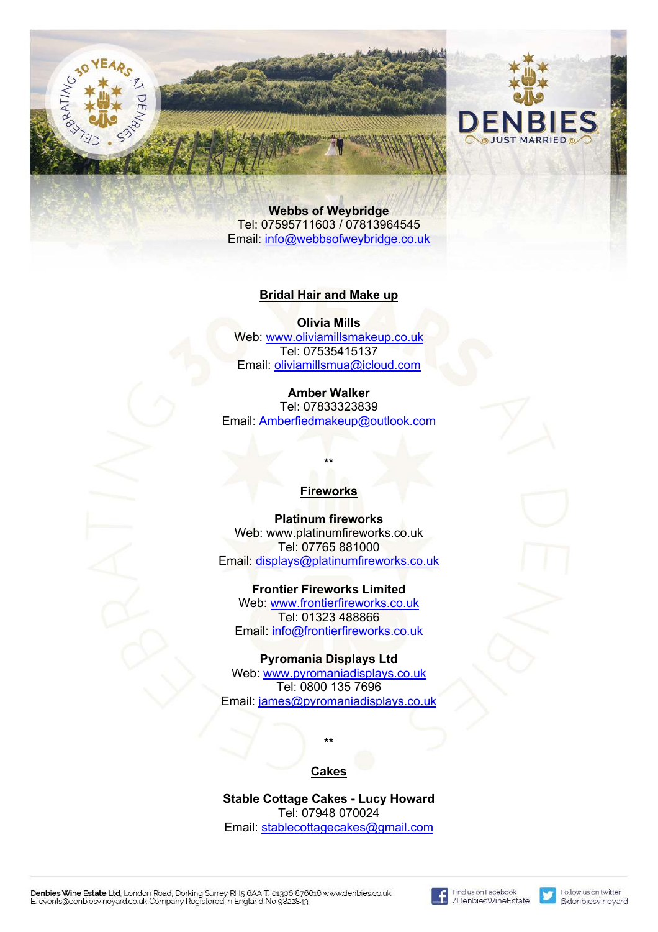



**Webbs of Weybridge** Tel: 07595711603 / 07813964545 Email: info@webbsofweybridge.co.uk

#### **Bridal Hair and Make up**

**Olivia Mills** Web: www.oliviamillsmakeup.co.uk Tel: 07535415137 Email: oliviamillsmua@icloud.com

#### **Amber Walker**

Tel: 07833323839 Email: Amberfiedmakeup@outlook.com

#### **Fireworks**

**\*\***

**Platinum fireworks** Web: www.platinumfireworks.co.uk Tel: 07765 881000 Email: displays@platinumfireworks.co.uk

**Frontier Fireworks Limited** Web: www.frontierfireworks.co.uk Tel: 01323 488866 Email: info@frontierfireworks.co.uk

#### **Pyromania Displays Ltd**

Web: www.pyromaniadisplays.co.uk Tel: 0800 135 7696 Email: james@pyromaniadisplays.co.uk

#### **Cakes**

**\*\***

**Stable Cottage Cakes - Lucy Howard** Tel: 07948 070024 Email: stablecottagecakes@gmail.com

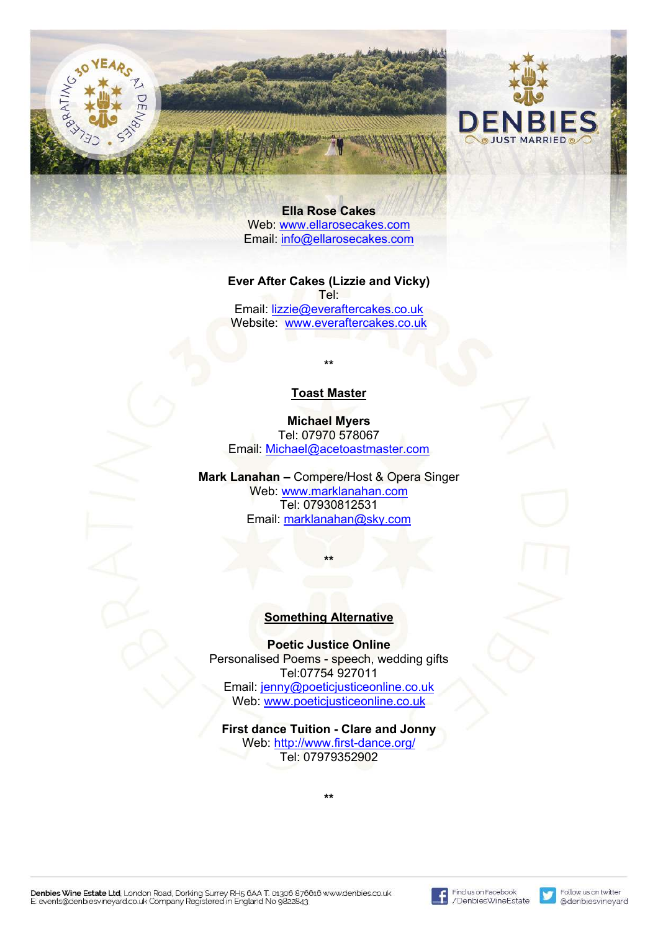



**Ella Rose Cakes** Web: www.ellarosecakes.com Email: info@ellarosecakes.com

**Ever After Cakes (Lizzie and Vicky)** Tel: Email: lizzie@everaftercakes.co.uk Website: www.everaftercakes.co.uk

#### **Toast Master**

**\*\***

**Michael Myers** Tel: 07970 578067 Email: Michael@acetoastmaster.com

**Mark Lanahan –** Compere/Host & Opera Singer Web: www.marklanahan.com Tel: 07930812531 Email: marklanahan@sky.com

**\*\***

#### **Something Alternative**

**Poetic Justice Online** Personalised Poems - speech, wedding gifts Tel:07754 927011 Email: jenny@poeticjusticeonline.co.uk Web: www.poeticjusticeonline.co.uk

**First dance Tuition - Clare and Jonny** Web: http://www.first-dance.org/ Tel: 07979352902

**\*\***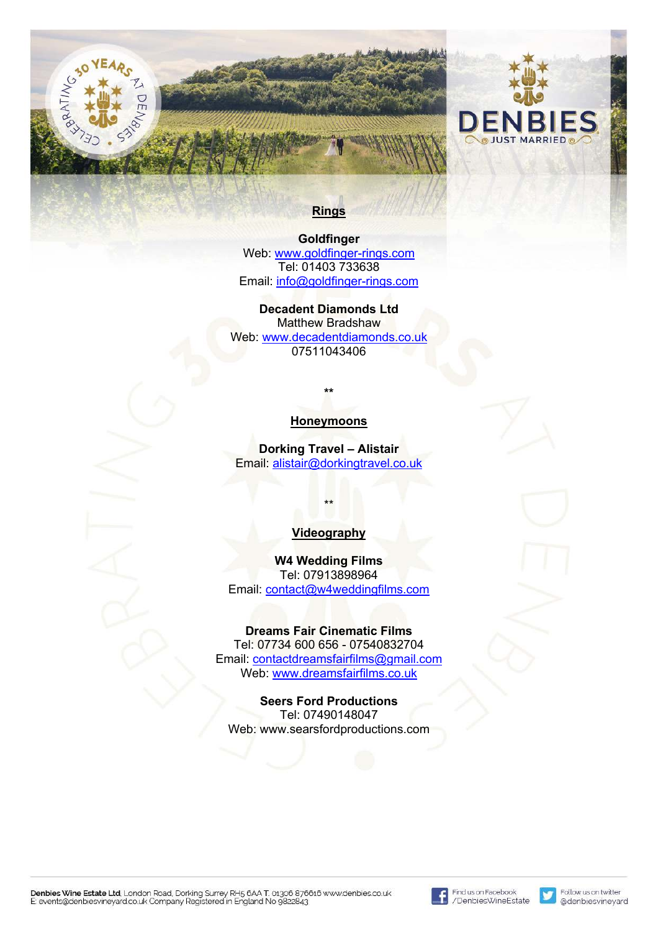# **Rings**

**Goldfinger** Web: www.goldfinger-rings.com Tel: 01403 733638 Email: info@goldfinger-rings.com

**Decadent Diamonds Ltd** Matthew Bradshaw Web: www.decadentdiamonds.co.uk 07511043406

## **Honeymoons**

**\*\***

**Dorking Travel – Alistair** Email: alistair@dorkingtravel.co.uk

#### **Videography**

\*\*

**W4 Wedding Films** Tel: 07913898964 Email: contact@w4weddingfilms.com

#### **Dreams Fair Cinematic Films**

Tel: 07734 600 656 - 07540832704 Email: contactdreamsfairfilms@gmail.com Web: www.dreamsfairfilms.co.uk

# **Seers Ford Productions**

Tel: 07490148047 Web: www.searsfordproductions.com



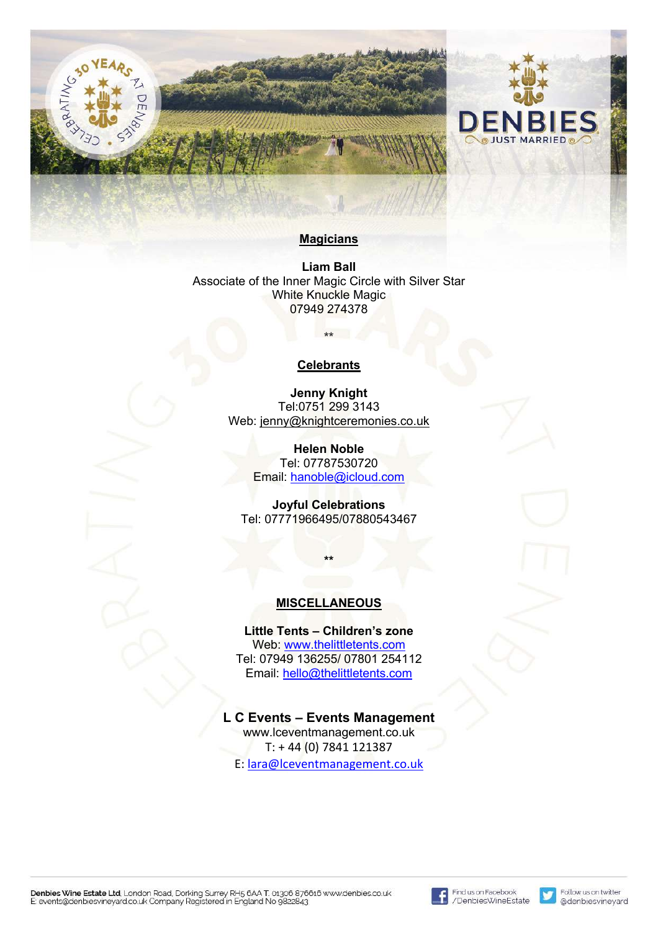



#### **Magicians**

**Liam Ball** Associate of the Inner Magic Circle with Silver Star White Knuckle Magic 07949 274378

#### **Celebrants**

**\*\***

**Jenny Knight** Tel:0751 299 3143 Web: jenny@knightceremonies.co.uk

> **Helen Noble** Tel: 07787530720 Email: hanoble@icloud.com

**Joyful Celebrations** Tel: 07771966495/07880543467

**\*\***

#### **MISCELLANEOUS**

**Little Tents – Children's zone** Web: www.thelittletents.com Tel: 07949 136255/ 07801 254112 Email: hello@thelittletents.com

#### **L C Events – Events Management**

www.lceventmanagement.co.uk T: + 44 (0) 7841 121387 E: lara@lceventmanagement.co.uk